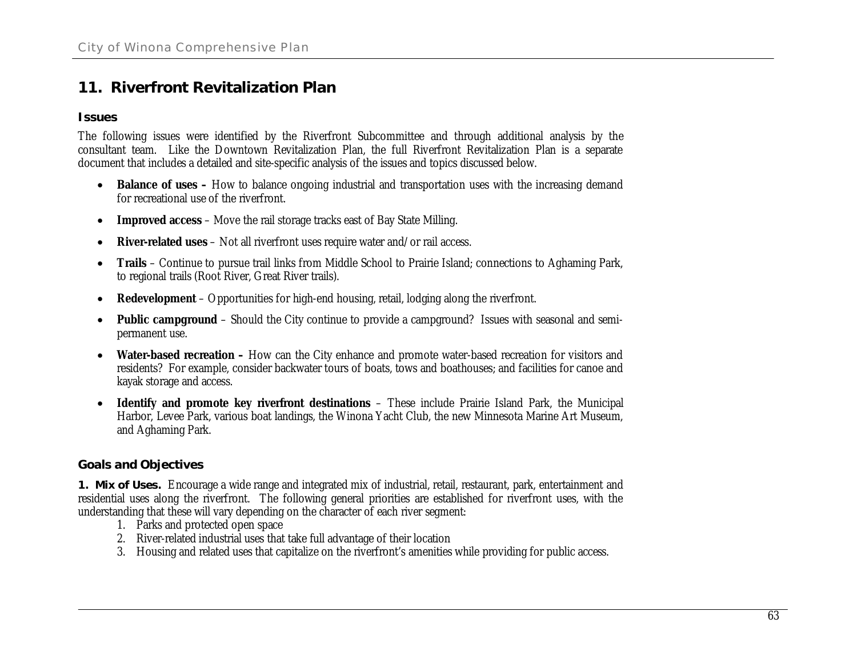# **11. Riverfront Revitalization Plan**

#### **Issues**

The following issues were identified by the Riverfront Subcommittee and through additional analysis by the consultant team. Like the Downtown Revitalization Plan, the full Riverfront Revitalization Plan is a separate document that includes a detailed and site-specific analysis of the issues and topics discussed below.

- Balance of uses How to balance ongoing industrial and transportation uses with the increasing demand for recreational use of the riverfront.
- **•** Improved access Move the rail storage tracks east of Bay State Milling.
- **•** River-related uses Not all riverfront uses require water and/or rail access.
- **•** Trails Continue to pursue trail links from Middle School to Prairie Island; connections to Aghaming Park, to regional trails (Root River, Great River trails).
- **•** Redevelopment Opportunities for high-end housing, retail, lodging along the riverfront.
- Public campground Should the City continue to provide a campground? Issues with seasonal and semipermanent use.
- Water-based recreation How can the City enhance and promote water-based recreation for visitors and residents? For example, consider backwater tours of boats, tows and boathouses; and facilities for canoe and kayak storage and access.
- x **Identify and promote key riverfront destinations** These include Prairie Island Park, the Municipal Harbor, Levee Park, various boat landings, the Winona Yacht Club, the new Minnesota Marine Art Museum, and Aghaming Park.

## **Goals and Objectives**

**1. Mix of Uses.** Encourage a wide range and integrated mix of industrial, retail, restaurant, park, entertainment and residential uses along the riverfront. The following general priorities are established for riverfront uses, with the understanding that these will vary depending on the character of each river segment:

- 1. Parks and protected open space
- 2. River-related industrial uses that take full advantage of their location
- 3. Housing and related uses that capitalize on the riverfront's amenities while providing for public access.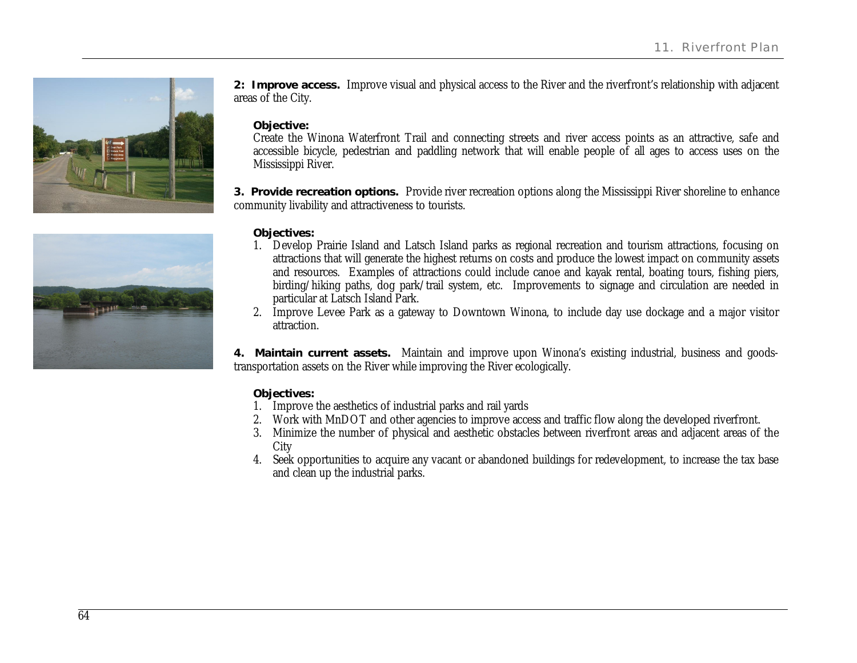

**2: Improve access.** Improve visual and physical access to the River and the riverfront's relationship with adjacent areas of the City.

**Objective:**

Create the Winona Waterfront Trail and connecting streets and river access points as an attractive, safe and accessible bicycle, pedestrian and paddling network that will enable people of all ages to access uses on the Mississippi River.

**3. Provide recreation options.** Provide river recreation options along the Mississippi River shoreline to enhance community livability and attractiveness to tourists.

**Objectives:**

- 1. Develop Prairie Island and Latsch Island parks as regional recreation and tourism attractions, focusing on attractions that will generate the highest returns on costs and produce the lowest impact on community assets and resources. Examples of attractions could include canoe and kayak rental, boating tours, fishing piers, birding/hiking paths, dog park/trail system, etc. Improvements to signage and circulation are needed in particular at Latsch Island Park.
- 2. Improve Levee Park as a gateway to Downtown Winona, to include day use dockage and a major visitor attraction.

**4. Maintain current assets.** Maintain and improve upon Winona's existing industrial, business and goodstransportation assets on the River while improving the River ecologically.

#### **Objectives:**

- 1. Improve the aesthetics of industrial parks and rail yards
- 2. Work with MnDOT and other agencies to improve access and traffic flow along the developed riverfront.
- 3. Minimize the number of physical and aesthetic obstacles between riverfront areas and adjacent areas of the **City**
- 4. Seek opportunities to acquire any vacant or abandoned buildings for redevelopment, to increase the tax base and clean up the industrial parks.

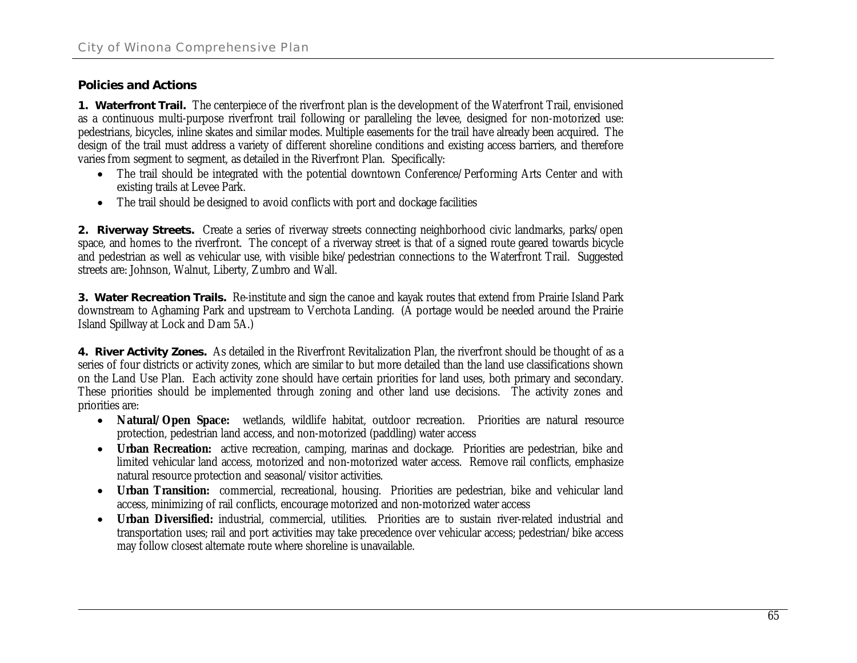### **Policies and Actions**

**1. Waterfront Trail.** The centerpiece of the riverfront plan is the development of the Waterfront Trail, envisioned as a continuous multi-purpose riverfront trail following or paralleling the levee, designed for non-motorized use: pedestrians, bicycles, inline skates and similar modes. Multiple easements for the trail have already been acquired. The design of the trail must address a variety of different shoreline conditions and existing access barriers, and therefore varies from segment to segment, as detailed in the Riverfront Plan. Specifically:

- The trail should be integrated with the potential downtown Conference/Performing Arts Center and with existing trails at Levee Park.
- The trail should be designed to avoid conflicts with port and dockage facilities

**2. Riverway Streets.** Create a series of riverway streets connecting neighborhood civic landmarks, parks/open space, and homes to the riverfront. The concept of a riverway street is that of a signed route geared towards bicycle and pedestrian as well as vehicular use, with visible bike/pedestrian connections to the Waterfront Trail. Suggested streets are: Johnson, Walnut, Liberty, Zumbro and Wall.

**3. Water Recreation Trails.** Re-institute and sign the canoe and kayak routes that extend from Prairie Island Park downstream to Aghaming Park and upstream to Verchota Landing. (A portage would be needed around the Prairie Island Spillway at Lock and Dam 5A.)

**4. River Activity Zones.** As detailed in the Riverfront Revitalization Plan, the riverfront should be thought of as a series of four districts or activity zones, which are similar to but more detailed than the land use classifications shown on the Land Use Plan. Each activity zone should have certain priorities for land uses, both primary and secondary. These priorities should be implemented through zoning and other land use decisions. The activity zones and priorities are:

- x **Natural/Open Space:** wetlands, wildlife habitat, outdoor recreation. Priorities are natural resource protection, pedestrian land access, and non-motorized (paddling) water access
- x **Urban Recreation:** active recreation, camping, marinas and dockage. Priorities are pedestrian, bike and limited vehicular land access, motorized and non-motorized water access. Remove rail conflicts, emphasize natural resource protection and seasonal/visitor activities.
- x **Urban Transition:** commercial, recreational, housing. Priorities are pedestrian, bike and vehicular land access, minimizing of rail conflicts, encourage motorized and non-motorized water access
- x **Urban Diversified:** industrial, commercial, utilities. Priorities are to sustain river-related industrial and transportation uses; rail and port activities may take precedence over vehicular access; pedestrian/bike access may follow closest alternate route where shoreline is unavailable.